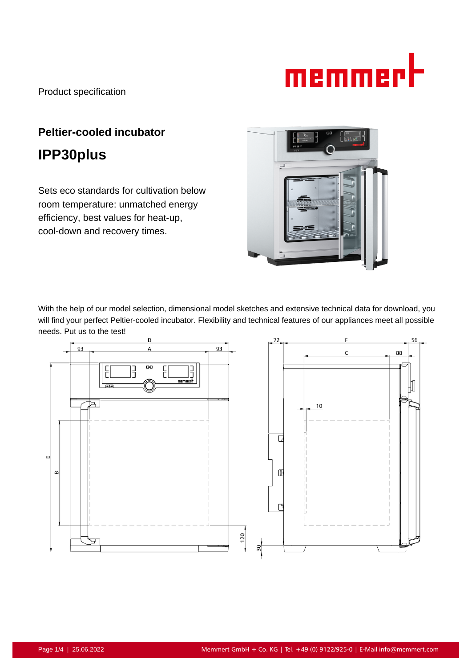# memmer

# **Peltier-cooled incubator IPP30plus**

Sets eco standards for cultivation below room temperature: unmatched energy efficiency, best values for heat-up, cool-down and recovery times.



With the help of our model selection, dimensional model sketches and extensive technical data for download, you will find your perfect Peltier-cooled incubator. Flexibility and technical features of our appliances meet all possible needs. Put us to the test!

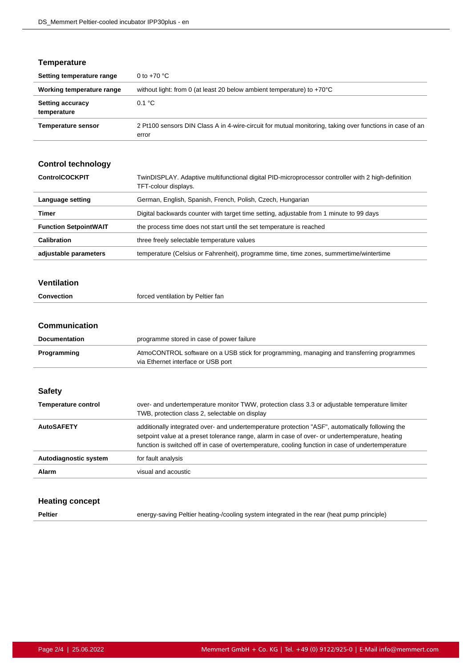#### **Temperature**

| Setting temperature range              | 0 to $+70$ °C                                                                                                     |
|----------------------------------------|-------------------------------------------------------------------------------------------------------------------|
| Working temperature range              | without light: from 0 (at least 20 below ambient temperature) to $+70^{\circ}$ C                                  |
| <b>Setting accuracy</b><br>temperature | 0.1 °C                                                                                                            |
| <b>Temperature sensor</b>              | 2 Pt100 sensors DIN Class A in 4-wire-circuit for mutual monitoring, taking over functions in case of an<br>error |

## **Control technology ControlCOCKPIT** TwinDISPLAY. Adaptive multifunctional digital PID-microprocessor controller with 2 high-definition TFT-colour displays. Language setting **German, English, Spanish, French, Polish, Czech, Hungarian Timer Example 2** Digital backwards counter with target time setting, adjustable from 1 minute to 99 days **Function SetpointWAIT** the process time does not start until the set temperature is reached **Calibration** three freely selectable temperature values

#### **Ventilation**

| Convection | forced ventilation by Peltier fan |
|------------|-----------------------------------|
|------------|-----------------------------------|

**adjustable parameters** temperature (Celsius or Fahrenheit), programme time, time zones, summertime/wintertime

#### **Communication**

| <b>Documentation</b>       | programme stored in case of power failure                                                                                       |
|----------------------------|---------------------------------------------------------------------------------------------------------------------------------|
| Programming                | AtmoCONTROL software on a USB stick for programming, managing and transferring programmes<br>via Ethernet interface or USB port |
|                            |                                                                                                                                 |
| <b>Safety</b>              |                                                                                                                                 |
| <b>Temperature control</b> | over- and undertemperature monitor TWW, protection class 3.3 or adjustable temperature limiter                                  |
|                            | TWB, protection class 2, selectable on display                                                                                  |
| <b>AutoSAFETY</b>          | additionally integrated over- and undertemperature protection "ASF", automatically following the                                |
|                            | setpoint value at a preset tolerance range, alarm in case of over- or undertemperature, heating                                 |
|                            | function is switched off in case of overtemperature, cooling function in case of undertemperature                               |
| Autodiagnostic system      | for fault analysis                                                                                                              |
| Alarm                      | visual and acoustic                                                                                                             |

#### **Heating concept**

Peltier **Peltier** energy-saving Peltier heating-/cooling system integrated in the rear (heat pump principle)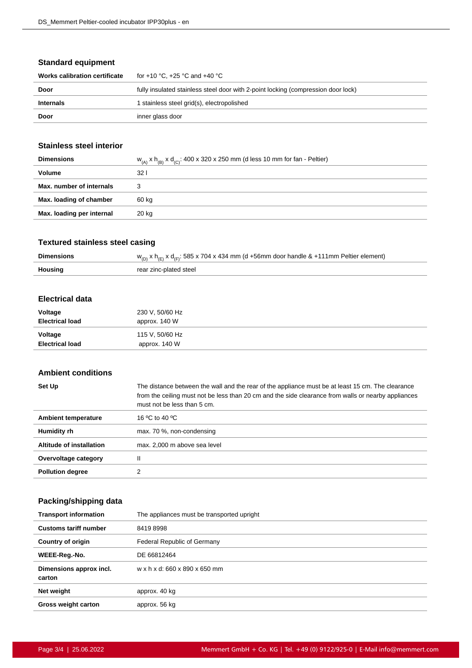#### **Standard equipment**

| Works calibration certificate | for +10 °C. +25 °C and +40 °C                                                     |
|-------------------------------|-----------------------------------------------------------------------------------|
| Door                          | fully insulated stainless steel door with 2-point locking (compression door lock) |
| <b>Internals</b>              | I stainless steel grid(s), electropolished                                        |
| Door                          | inner glass door                                                                  |

#### **Stainless steel interior**

| <b>Dimensions</b>         | $w_{(A)}$ x h <sub>(B)</sub> x d <sub>(C)</sub> : 400 x 320 x 250 mm (d less 10 mm for fan - Peltier) |
|---------------------------|-------------------------------------------------------------------------------------------------------|
| Volume                    | 32 I                                                                                                  |
| Max. number of internals  |                                                                                                       |
| Max. loading of chamber   | 60 kg                                                                                                 |
| Max. loading per internal | 20 kg                                                                                                 |
|                           |                                                                                                       |

#### **Textured stainless steel casing**

| <b>Dimensions</b> | $w_{(D)}$ x h <sub>(E)</sub> x d <sub>(F)</sub> : 585 x 704 x 434 mm (d +56mm door handle & +111mm Peltier element) |
|-------------------|---------------------------------------------------------------------------------------------------------------------|
| Housing           | rear zinc-plated steel                                                                                              |

#### **Electrical data**

| Voltage                | 230 V, 50/60 Hz |
|------------------------|-----------------|
| <b>Electrical load</b> | approx. 140 W   |
| Voltage                | 115 V, 50/60 Hz |
| <b>Electrical load</b> | approx. 140 W   |

#### **Ambient conditions**

| Set Up                   | The distance between the wall and the rear of the appliance must be at least 15 cm. The clearance<br>from the ceiling must not be less than 20 cm and the side clearance from walls or nearby appliances<br>must not be less than 5 cm. |
|--------------------------|-----------------------------------------------------------------------------------------------------------------------------------------------------------------------------------------------------------------------------------------|
| Ambient temperature      | 16 °C to 40 °C                                                                                                                                                                                                                          |
| Humidity rh              | max. 70 %, non-condensing                                                                                                                                                                                                               |
| Altitude of installation | max. 2,000 m above sea level                                                                                                                                                                                                            |
| Overvoltage category     | Ш                                                                                                                                                                                                                                       |
| <b>Pollution degree</b>  | າ                                                                                                                                                                                                                                       |

### **Packing/shipping data**

| <b>Transport information</b>      | The appliances must be transported upright |
|-----------------------------------|--------------------------------------------|
| <b>Customs tariff number</b>      | 84198998                                   |
| <b>Country of origin</b>          | Federal Republic of Germany                |
| WEEE-Reg.-No.                     | DE 66812464                                |
| Dimensions approx incl.<br>carton | w x h x d: 660 x 890 x 650 mm              |
| Net weight                        | approx. 40 kg                              |
| <b>Gross weight carton</b>        | approx. 56 kg                              |